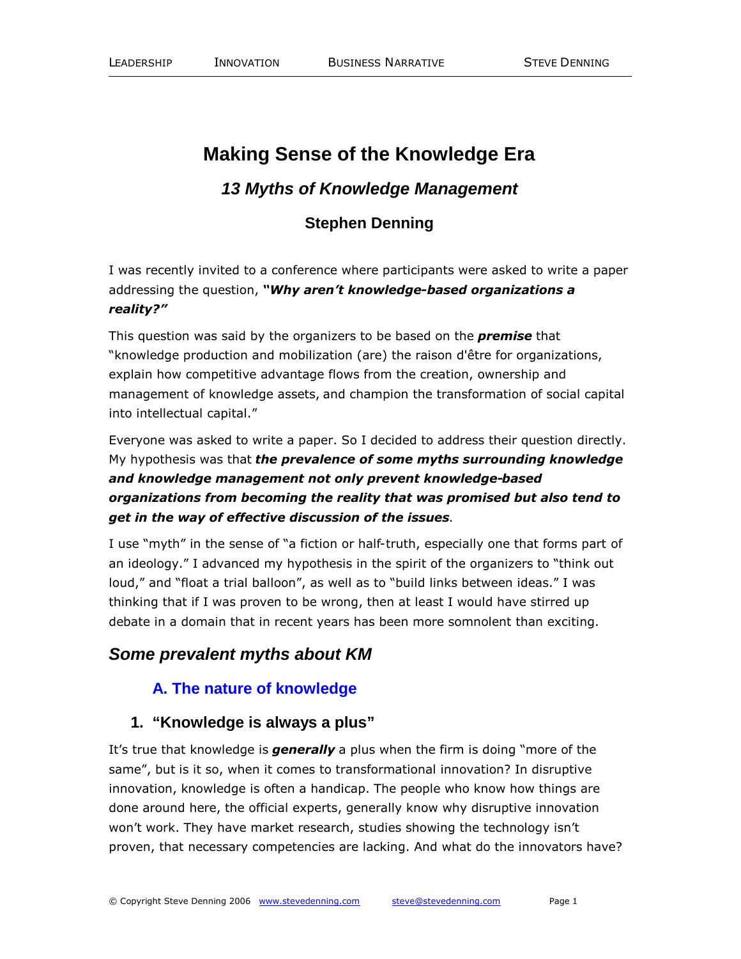# **Making Sense of the Knowledge Era**

## *13 Myths of Knowledge Management*

## **Stephen Denning**

I was recently invited to a conference where participants were asked to write a paper addressing the question, *"Why aren't knowledge-based organizations a reality?"*

This question was said by the organizers to be based on the *premise* that "knowledge production and mobilization (are) the raison d'être for organizations, explain how competitive advantage flows from the creation, ownership and management of knowledge assets, and champion the transformation of social capital into intellectual capital."

Everyone was asked to write a paper. So I decided to address their question directly. My hypothesis was that *the prevalence of some myths surrounding knowledge and knowledge management not only prevent knowledge-based organizations from becoming the reality that was promised but also tend to get in the way of effective discussion of the issues*.

I use "myth" in the sense of "a fiction or half-truth, especially one that forms part of an ideology." I advanced my hypothesis in the spirit of the organizers to "think out loud," and "float a trial balloon", as well as to "build links between ideas." I was thinking that if I was proven to be wrong, then at least I would have stirred up debate in a domain that in recent years has been more somnolent than exciting.

## *Some prevalent myths about KM*

#### **A. The nature of knowledge**

#### **1. "Knowledge is always a plus"**

It's true that knowledge is *generally* a plus when the firm is doing "more of the same", but is it so, when it comes to transformational innovation? In disruptive innovation, knowledge is often a handicap. The people who know how things are done around here, the official experts, generally know why disruptive innovation won't work. They have market research, studies showing the technology isn't proven, that necessary competencies are lacking. And what do the innovators have?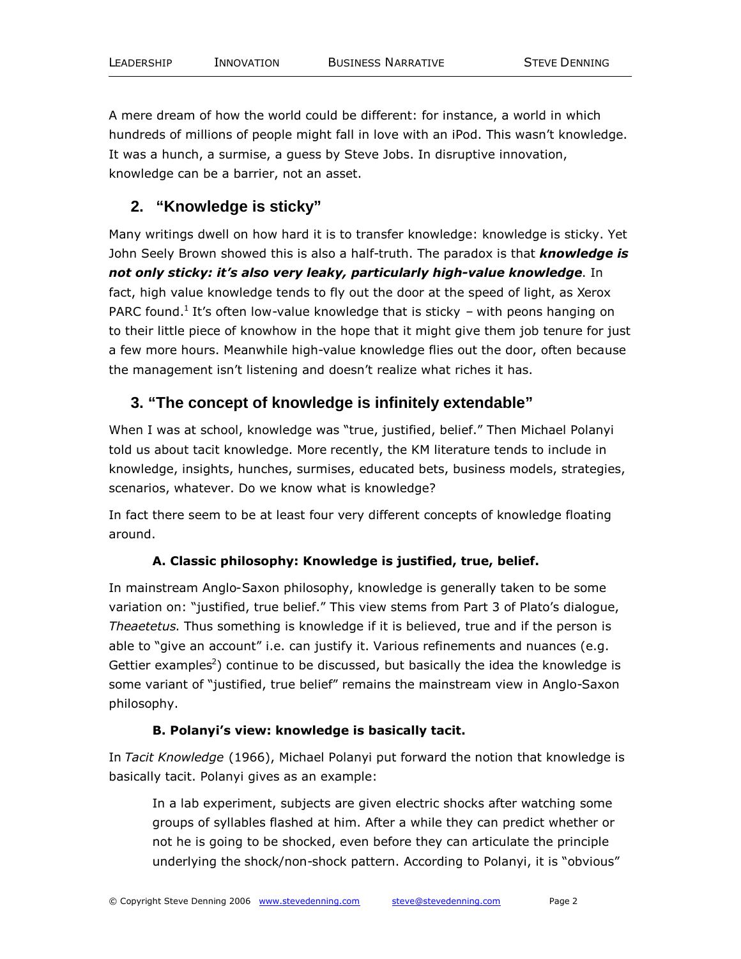A mere dream of how the world could be different: for instance, a world in which hundreds of millions of people might fall in love with an iPod. This wasn't knowledge. It was a hunch, a surmise, a guess by Steve Jobs. In disruptive innovation, knowledge can be a barrier, not an asset.

### **2. "Knowledge is sticky"**

Many writings dwell on how hard it is to transfer knowledge: knowledge is sticky. Yet John Seely Brown showed this is also a half-truth. The paradox is that *knowledge is not only sticky: it's also very leaky, particularly high-value knowledge*. In fact, high value knowledge tends to fly out the door at the speed of light, as Xerox PARC found.<sup>1</sup> It's often low-value knowledge that is sticky – with peons hanging on to their little piece of knowhow in the hope that it might give them job tenure for just a few more hours. Meanwhile high-value knowledge flies out the door, often because the management isn't listening and doesn't realize what riches it has.

#### **3. "The concept of knowledge is infinitely extendable"**

When I was at school, knowledge was "true, justified, belief." Then Michael Polanyi told us about tacit knowledge. More recently, the KM literature tends to include in knowledge, insights, hunches, surmises, educated bets, business models, strategies, scenarios, whatever. Do we know what is knowledge?

In fact there seem to be at least four very different concepts of knowledge floating around.

#### **A. Classic philosophy: Knowledge is justified, true, belief.**

In mainstream Anglo-Saxon philosophy, knowledge is generally taken to be some variation on: "justified, true belief." This view stems from Part 3 of Plato's dialogue, *Theaetetus*. Thus something is knowledge if it is believed, true and if the person is able to "give an account" i.e. can justify it. Various refinements and nuances (e.g. Gettier examples<sup>2</sup>) continue to be discussed, but basically the idea the knowledge is some variant of "justified, true belief" remains the mainstream view in Anglo-Saxon philosophy.

#### **B. Polanyi's view: knowledge is basically tacit.**

In *Tacit Knowledge* (1966), Michael Polanyi put forward the notion that knowledge is basically tacit. Polanyi gives as an example:

In a lab experiment, subjects are given electric shocks after watching some groups of syllables flashed at him. After a while they can predict whether or not he is going to be shocked, even before they can articulate the principle underlying the shock/non-shock pattern. According to Polanyi, it is "obvious"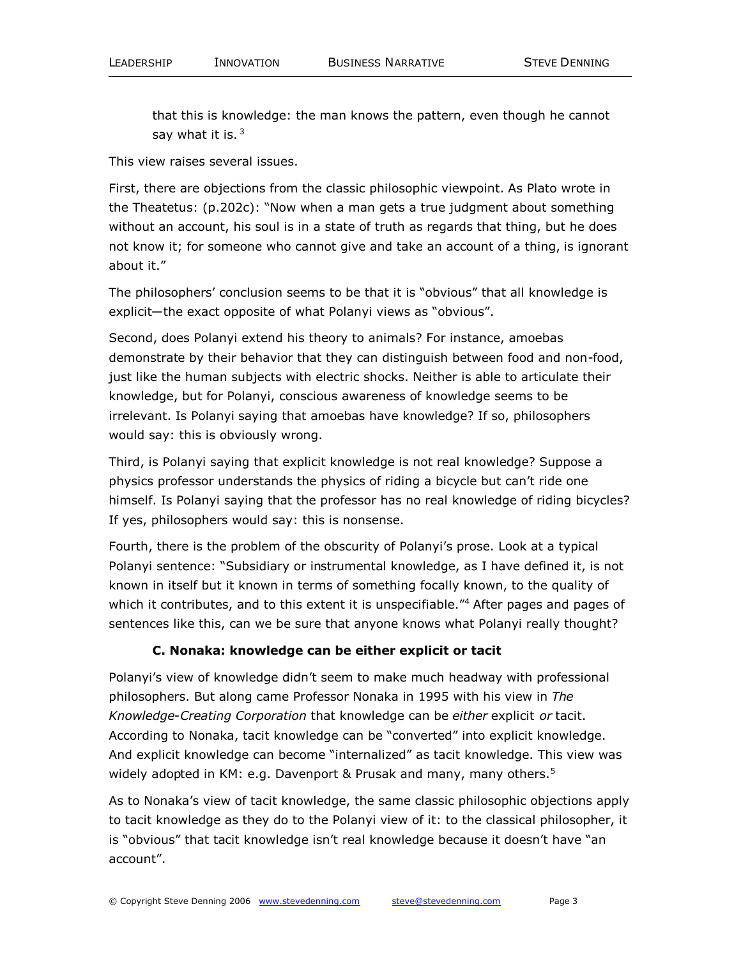that this is knowledge: the man knows the pattern, even though he cannot say what it is.  $3$ 

This view raises several issues.

First, there are objections from the classic philosophic viewpoint. As Plato wrote in the Theatetus: (p.202c): "Now when a man gets a true judgment about something without an account, his soul is in a state of truth as regards that thing, but he does not know it; for someone who cannot give and take an account of a thing, is ignorant about it."

The philosophers' conclusion seems to be that it is "obvious" that all knowledge is explicit—the exact opposite of what Polanyi views as "obvious".

Second, does Polanyi extend his theory to animals? For instance, amoebas demonstrate by their behavior that they can distinguish between food and non-food, just like the human subjects with electric shocks. Neither is able to articulate their knowledge, but for Polanyi, conscious awareness of knowledge seems to be irrelevant. Is Polanyi saying that amoebas have knowledge? If so, philosophers would say: this is obviously wrong.

Third, is Polanyi saying that explicit knowledge is not real knowledge? Suppose a physics professor understands the physics of riding a bicycle but can't ride one himself. Is Polanyi saying that the professor has no real knowledge of riding bicycles? If yes, philosophers would say: this is nonsense.

Fourth, there is the problem of the obscurity of Polanyi's prose. Look at a typical Polanyi sentence: "Subsidiary or instrumental knowledge, as I have defined it, is not known in itself but it known in terms of something focally known, to the quality of which it contributes, and to this extent it is unspecifiable.<sup>"4</sup> After pages and pages of sentences like this, can we be sure that anyone knows what Polanyi really thought?

#### **C. Nonaka: knowledge can be either explicit or tacit**

Polanyi's view of knowledge didn't seem to make much headway with professional philosophers. But along came Professor Nonaka in 1995 with his view in *The Knowledge-Creating Corporation* that knowledge can be *either* explicit *or* tacit. According to Nonaka, tacit knowledge can be "converted" into explicit knowledge. And explicit knowledge can become "internalized" as tacit knowledge. This view was widely adopted in KM: e.g. Davenport & Prusak and many, many others.<sup>5</sup>

As to Nonaka's view of tacit knowledge, the same classic philosophic objections apply to tacit knowledge as they do to the Polanyi view of it: to the classical philosopher, it is "obvious" that tacit knowledge isn't real knowledge because it doesn't have "an account".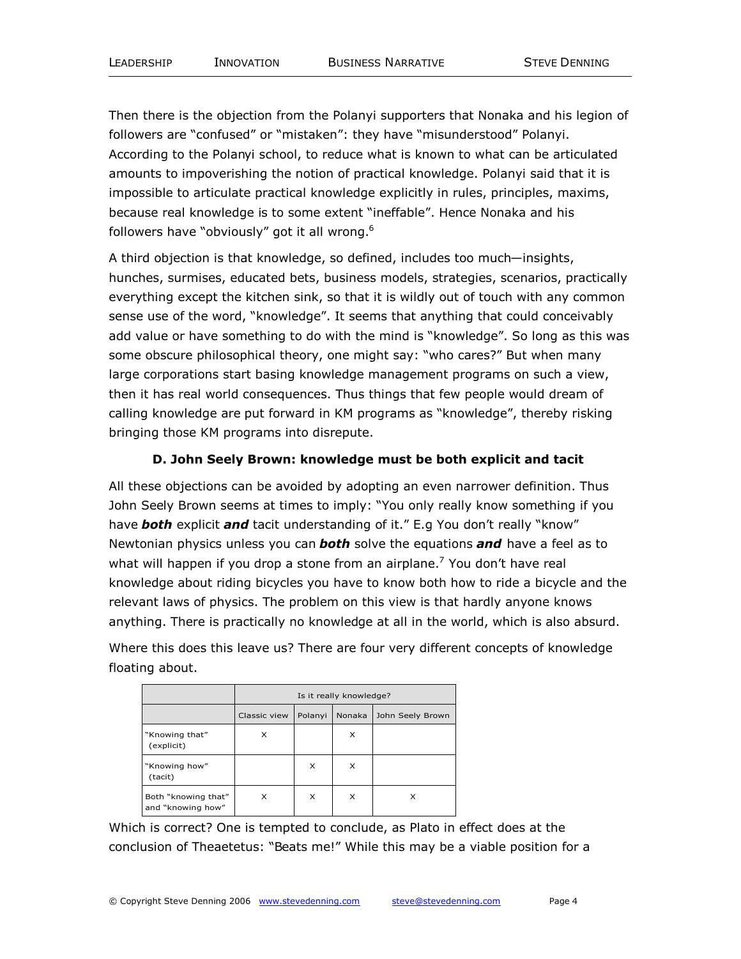Then there is the objection from the Polanyi supporters that Nonaka and his legion of followers are "confused" or "mistaken": they have "misunderstood" Polanyi. According to the Polanyi school, to reduce what is known to what can be articulated amounts to impoverishing the notion of practical knowledge. Polanyi said that it is impossible to articulate practical knowledge explicitly in rules, principles, maxims, because real knowledge is to some extent "ineffable". Hence Nonaka and his followers have "obviously" got it all wrong.<sup>6</sup>

A third objection is that knowledge, so defined, includes too much—insights, hunches, surmises, educated bets, business models, strategies, scenarios, practically everything except the kitchen sink, so that it is wildly out of touch with any common sense use of the word, "knowledge". It seems that anything that could conceivably add value or have something to do with the mind is "knowledge". So long as this was some obscure philosophical theory, one might say: "who cares?" But when many large corporations start basing knowledge management programs on such a view, then it has real world consequences. Thus things that few people would dream of calling knowledge are put forward in KM programs as "knowledge", thereby risking bringing those KM programs into disrepute.

#### **D. John Seely Brown: knowledge must be both explicit and tacit**

All these objections can be avoided by adopting an even narrower definition. Thus John Seely Brown seems at times to imply: "You only really know something if you have *both* explicit *and* tacit understanding of it." E.g You don't really "know" Newtonian physics unless you can *both* solve the equations *and* have a feel as to what will happen if you drop a stone from an airplane.<sup>7</sup> You don't have real knowledge about riding bicycles you have to know both how to ride a bicycle and the relevant laws of physics. The problem on this view is that hardly anyone knows anything. There is practically no knowledge at all in the world, which is also absurd.

Where this does this leave us? There are four very different concepts of knowledge floating about.

|                                          | Is it really knowledge? |         |        |                  |
|------------------------------------------|-------------------------|---------|--------|------------------|
|                                          | Classic view            | Polanyi | Nonaka | John Seely Brown |
| "Knowing that"<br>(explicit)             | X                       |         | X      |                  |
| "Knowing how"<br>(tacit)                 |                         | X       | x      |                  |
| Both "knowing that"<br>and "knowing how" | X                       | X       | x      | x                |

Which is correct? One is tempted to conclude, as Plato in effect does at the conclusion of Theaetetus: "Beats me!" While this may be a viable position for a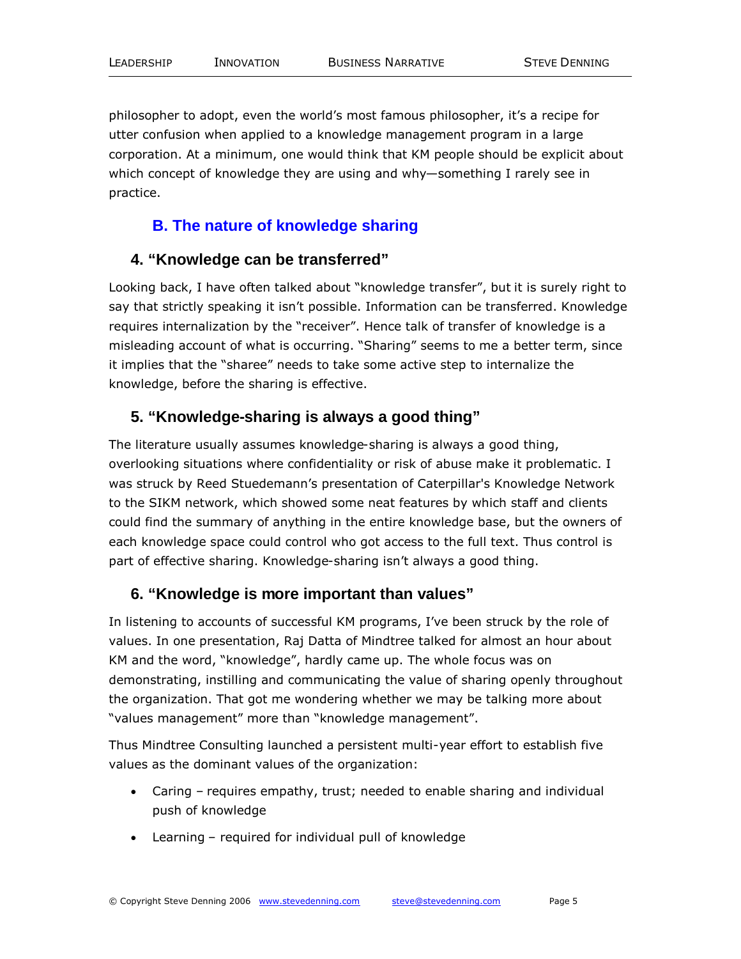philosopher to adopt, even the world's most famous philosopher, it's a recipe for utter confusion when applied to a knowledge management program in a large corporation. At a minimum, one would think that KM people should be explicit about which concept of knowledge they are using and why—something I rarely see in practice.

#### **B. The nature of knowledge sharing**

#### **4. "Knowledge can be transferred"**

Looking back, I have often talked about "knowledge transfer", but it is surely right to say that strictly speaking it isn't possible. Information can be transferred. Knowledge requires internalization by the "receiver". Hence talk of transfer of knowledge is a misleading account of what is occurring. "Sharing" seems to me a better term, since it implies that the "sharee" needs to take some active step to internalize the knowledge, before the sharing is effective.

## **5. "Knowledge-sharing is always a good thing"**

The literature usually assumes knowledge-sharing is always a good thing, overlooking situations where confidentiality or risk of abuse make it problematic. I was struck by Reed Stuedemann's presentation of Caterpillar's Knowledge Network to the SIKM network, which showed some neat features by which staff and clients could find the summary of anything in the entire knowledge base, but the owners of each knowledge space could control who got access to the full text. Thus control is part of effective sharing. Knowledge-sharing isn't always a good thing.

#### **6. "Knowledge is more important than values"**

In listening to accounts of successful KM programs, I've been struck by the role of values. In one presentation, Raj Datta of Mindtree talked for almost an hour about KM and the word, "knowledge", hardly came up. The whole focus was on demonstrating, instilling and communicating the value of sharing openly throughout the organization. That got me wondering whether we may be talking more about "values management" more than "knowledge management".

Thus Mindtree Consulting launched a persistent multi-year effort to establish five values as the dominant values of the organization:

- Caring requires empathy, trust; needed to enable sharing and individual push of knowledge
- Learning required for individual pull of knowledge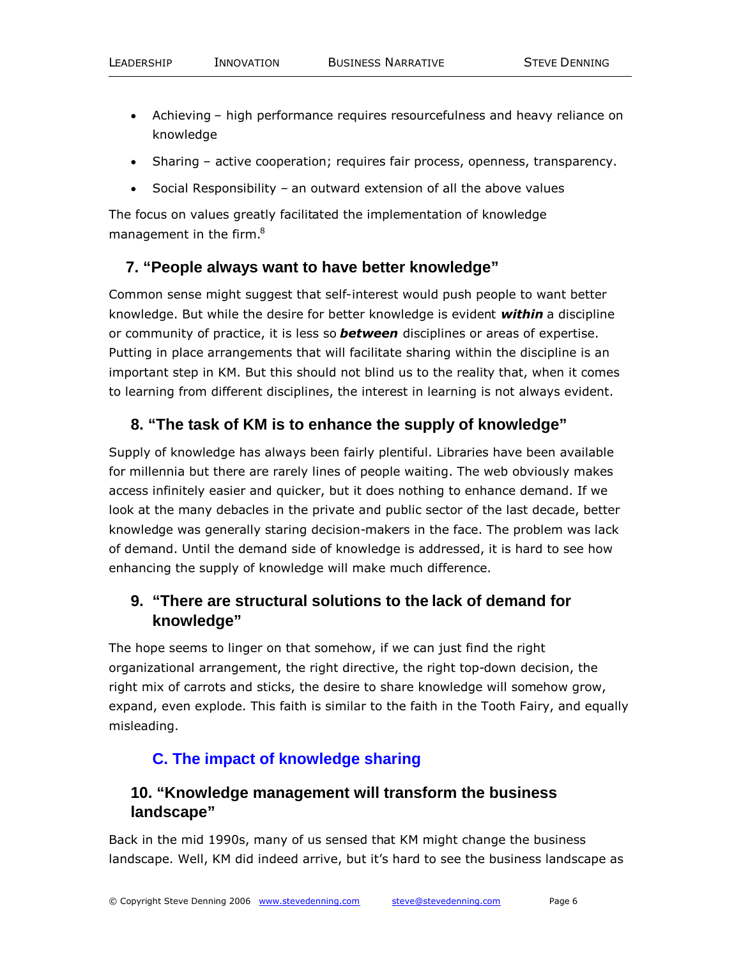- Achieving high performance requires resourcefulness and heavy reliance on knowledge
- Sharing active cooperation; requires fair process, openness, transparency.
- Social Responsibility an outward extension of all the above values

The focus on values greatly facilitated the implementation of knowledge management in the firm.<sup>8</sup>

#### **7. "People always want to have better knowledge"**

Common sense might suggest that self-interest would push people to want better knowledge. But while the desire for better knowledge is evident *within* a discipline or community of practice, it is less so *between* disciplines or areas of expertise. Putting in place arrangements that will facilitate sharing within the discipline is an important step in KM. But this should not blind us to the reality that, when it comes to learning from different disciplines, the interest in learning is not always evident.

### **8. "The task of KM is to enhance the supply of knowledge"**

Supply of knowledge has always been fairly plentiful. Libraries have been available for millennia but there are rarely lines of people waiting. The web obviously makes access infinitely easier and quicker, but it does nothing to enhance demand. If we look at the many debacles in the private and public sector of the last decade, better knowledge was generally staring decision-makers in the face. The problem was lack of demand. Until the demand side of knowledge is addressed, it is hard to see how enhancing the supply of knowledge will make much difference.

## **9. "There are structural solutions to the lack of demand for knowledge"**

The hope seems to linger on that somehow, if we can just find the right organizational arrangement, the right directive, the right top-down decision, the right mix of carrots and sticks, the desire to share knowledge will somehow grow, expand, even explode. This faith is similar to the faith in the Tooth Fairy, and equally misleading.

## **C. The impact of knowledge sharing**

## **10. "Knowledge management will transform the business landscape"**

Back in the mid 1990s, many of us sensed that KM might change the business landscape. Well, KM did indeed arrive, but it's hard to see the business landscape as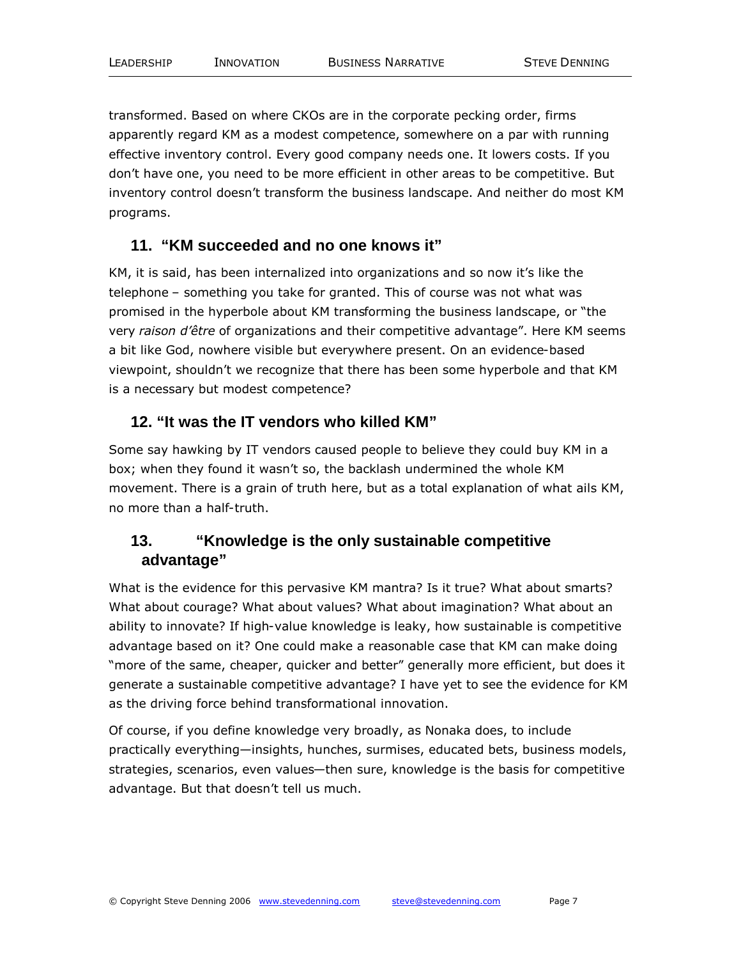transformed. Based on where CKOs are in the corporate pecking order, firms apparently regard KM as a modest competence, somewhere on a par with running effective inventory control. Every good company needs one. It lowers costs. If you don't have one, you need to be more efficient in other areas to be competitive. But inventory control doesn't transform the business landscape. And neither do most KM programs.

#### **11. "KM succeeded and no one knows it"**

KM, it is said, has been internalized into organizations and so now it's like the telephone – something you take for granted. This of course was not what was promised in the hyperbole about KM transforming the business landscape, or "the very *raison d'être* of organizations and their competitive advantage". Here KM seems a bit like God, nowhere visible but everywhere present. On an evidence-based viewpoint, shouldn't we recognize that there has been some hyperbole and that KM is a necessary but modest competence?

### **12. "It was the IT vendors who killed KM"**

Some say hawking by IT vendors caused people to believe they could buy KM in a box; when they found it wasn't so, the backlash undermined the whole KM movement. There is a grain of truth here, but as a total explanation of what ails KM, no more than a half-truth.

## **13. "Knowledge is the only sustainable competitive advantage"**

What is the evidence for this pervasive KM mantra? Is it true? What about smarts? What about courage? What about values? What about imagination? What about an ability to innovate? If high-value knowledge is leaky, how sustainable is competitive advantage based on it? One could make a reasonable case that KM can make doing "more of the same, cheaper, quicker and better" generally more efficient, but does it generate a sustainable competitive advantage? I have yet to see the evidence for KM as the driving force behind transformational innovation.

Of course, if you define knowledge very broadly, as Nonaka does, to include practically everything—insights, hunches, surmises, educated bets, business models, strategies, scenarios, even values—then sure, knowledge is the basis for competitive advantage. But that doesn't tell us much.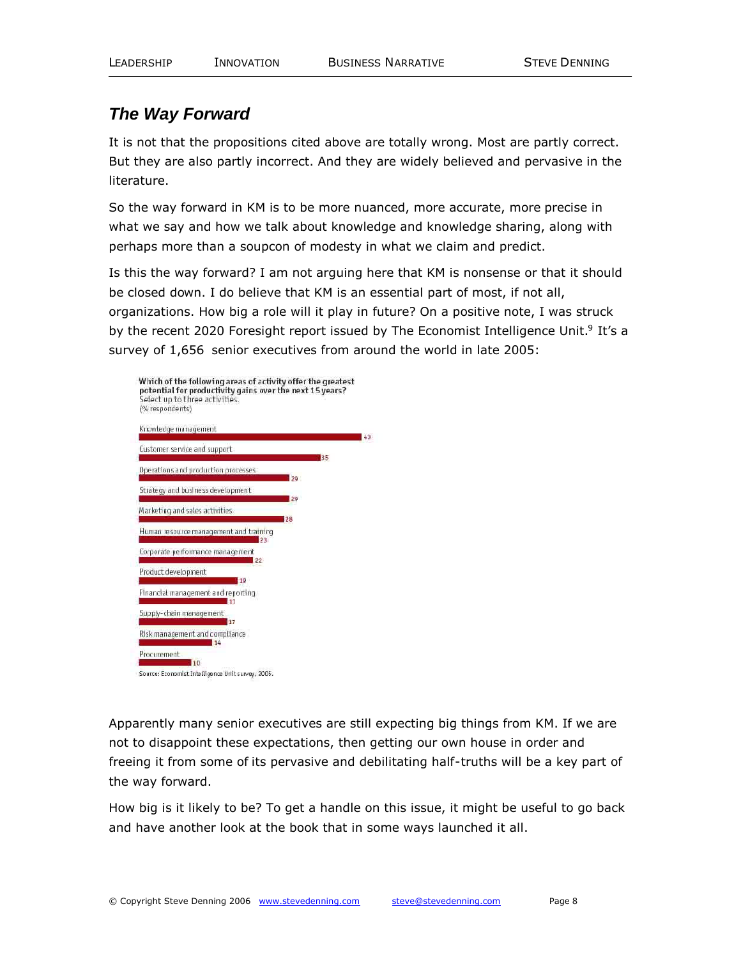## *The Way Forward*

It is not that the propositions cited above are totally wrong. Most are partly correct. But they are also partly incorrect. And they are widely believed and pervasive in the literature.

So the way forward in KM is to be more nuanced, more accurate, more precise in what we say and how we talk about knowledge and knowledge sharing, along with perhaps more than a soupcon of modesty in what we claim and predict.

Is this the way forward? I am not arguing here that KM is nonsense or that it should be closed down. I do believe that KM is an essential part of most, if not all, organizations. How big a role will it play in future? On a positive note, I was struck by the recent 2020 Foresight report issued by The Economist Intelligence Unit.<sup>9</sup> It's a survey of 1,656 senior executives from around the world in late 2005:

| Which of the following areas of activity offer the greatest<br>potential for productivity gains over the next 15 years?<br>Select up to three activities.<br>(% respondents) |    |
|------------------------------------------------------------------------------------------------------------------------------------------------------------------------------|----|
| Knowledge management                                                                                                                                                         | 43 |
| Customer service and support<br>35                                                                                                                                           |    |
| Operations and production processes<br>29                                                                                                                                    |    |
| Strategy and business development<br>29                                                                                                                                      |    |
| Marketing and sales activities<br>28                                                                                                                                         |    |
| Human resource management and training<br>23                                                                                                                                 |    |
| Corporate performance management<br>22                                                                                                                                       |    |
| Product development<br>10                                                                                                                                                    |    |
| Financial management and reporting<br>17                                                                                                                                     |    |
| Supply-chain management                                                                                                                                                      |    |
| 17<br>Risk management and compliance<br>14                                                                                                                                   |    |
| Procurement<br>10                                                                                                                                                            |    |
| Source: Economist Intelligence Unit survey, 2005.                                                                                                                            |    |

Apparently many senior executives are still expecting big things from KM. If we are not to disappoint these expectations, then getting our own house in order and freeing it from some of its pervasive and debilitating half-truths will be a key part of the way forward.

How big is it likely to be? To get a handle on this issue, it might be useful to go back and have another look at the book that in some ways launched it all.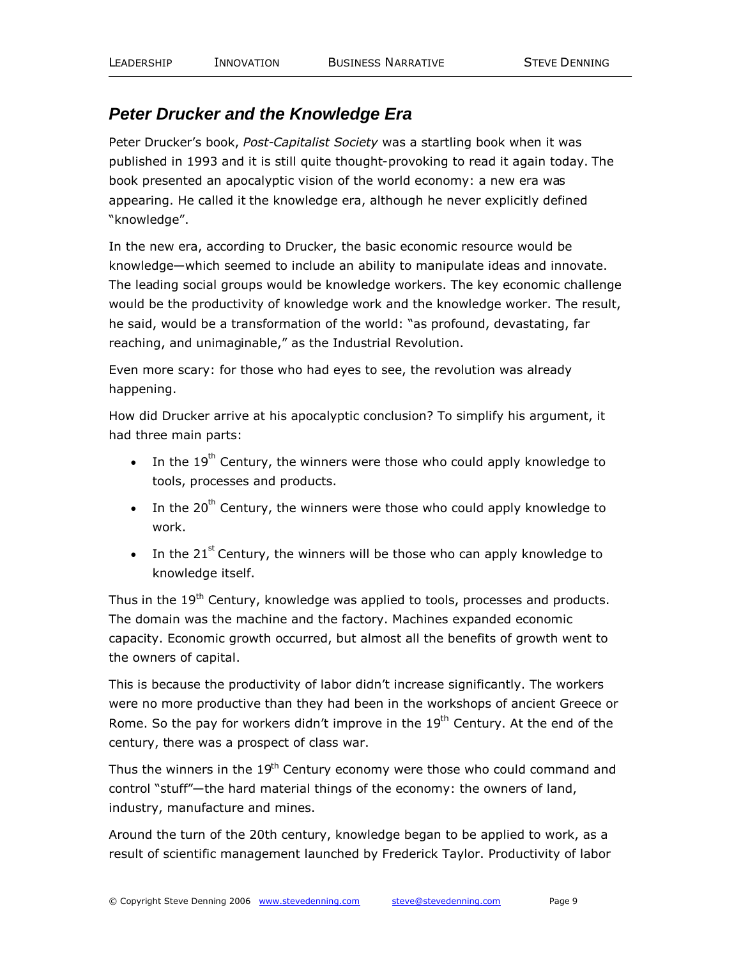## *Peter Drucker and the Knowledge Era*

Peter Drucker's book, *Post-Capitalist Society* was a startling book when it was published in 1993 and it is still quite thought-provoking to read it again today. The book presented an apocalyptic vision of the world economy: a new era was appearing. He called it the knowledge era, although he never explicitly defined "knowledge".

In the new era, according to Drucker, the basic economic resource would be knowledge—which seemed to include an ability to manipulate ideas and innovate. The leading social groups would be knowledge workers. The key economic challenge would be the productivity of knowledge work and the knowledge worker. The result, he said, would be a transformation of the world: "as profound, devastating, far reaching, and unimaginable," as the Industrial Revolution.

Even more scary: for those who had eyes to see, the revolution was already happening.

How did Drucker arrive at his apocalyptic conclusion? To simplify his argument, it had three main parts:

- In the  $19^{th}$  Century, the winners were those who could apply knowledge to tools, processes and products.
- In the 20<sup>th</sup> Century, the winners were those who could apply knowledge to work.
- In the 21<sup>st</sup> Century, the winners will be those who can apply knowledge to knowledge itself.

Thus in the 19<sup>th</sup> Century, knowledge was applied to tools, processes and products. The domain was the machine and the factory. Machines expanded economic capacity. Economic growth occurred, but almost all the benefits of growth went to the owners of capital.

This is because the productivity of labor didn't increase significantly. The workers were no more productive than they had been in the workshops of ancient Greece or Rome. So the pay for workers didn't improve in the  $19<sup>th</sup>$  Century. At the end of the century, there was a prospect of class war.

Thus the winners in the 19<sup>th</sup> Century economy were those who could command and control "stuff"—the hard material things of the economy: the owners of land, industry, manufacture and mines.

Around the turn of the 20th century, knowledge began to be applied to work, as a result of scientific management launched by Frederick Taylor. Productivity of labor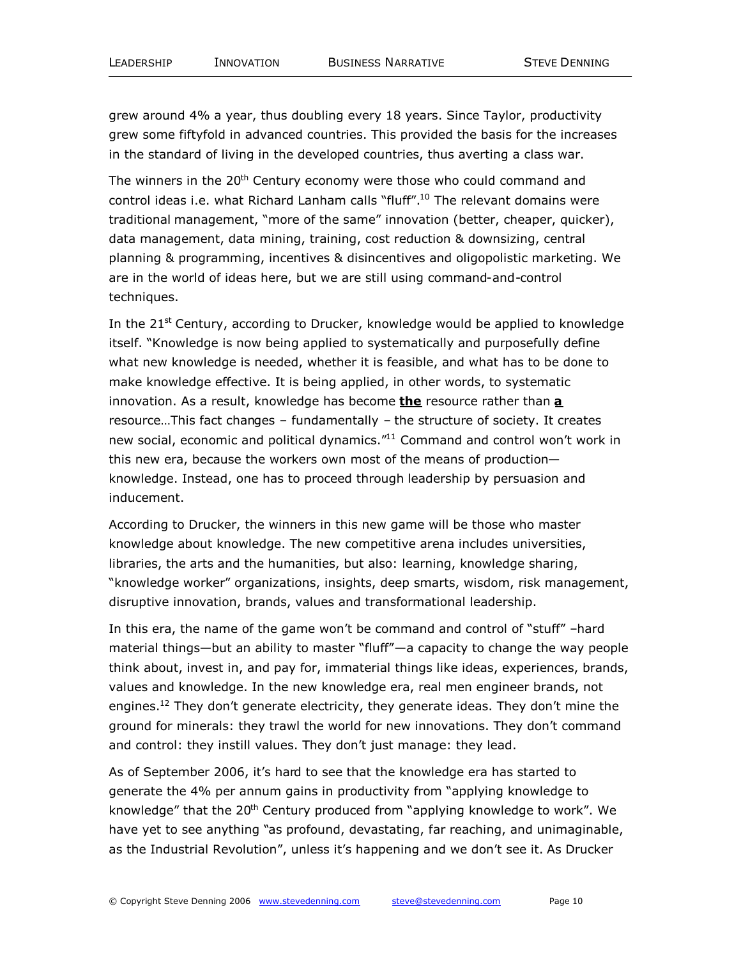grew around 4% a year, thus doubling every 18 years. Since Taylor, productivity grew some fiftyfold in advanced countries. This provided the basis for the increases in the standard of living in the developed countries, thus averting a class war.

The winners in the  $20<sup>th</sup>$  Century economy were those who could command and control ideas i.e. what Richard Lanham calls "fluff".<sup>10</sup> The relevant domains were traditional management, "more of the same" innovation (better, cheaper, quicker), data management, data mining, training, cost reduction & downsizing, central planning & programming, incentives & disincentives and oligopolistic marketing. We are in the world of ideas here, but we are still using command-and-control techniques.

In the  $21<sup>st</sup>$  Century, according to Drucker, knowledge would be applied to knowledge itself. "Knowledge is now being applied to systematically and purposefully define what new knowledge is needed, whether it is feasible, and what has to be done to make knowledge effective. It is being applied, in other words, to systematic innovation. As a result, knowledge has become **the** resource rather than **a** resource…This fact changes – fundamentally – the structure of society. It creates new social, economic and political dynamics."<sup>11</sup> Command and control won't work in this new era, because the workers own most of the means of production knowledge. Instead, one has to proceed through leadership by persuasion and inducement.

According to Drucker, the winners in this new game will be those who master knowledge about knowledge. The new competitive arena includes universities, libraries, the arts and the humanities, but also: learning, knowledge sharing, "knowledge worker" organizations, insights, deep smarts, wisdom, risk management, disruptive innovation, brands, values and transformational leadership.

In this era, the name of the game won't be command and control of "stuff" –hard material things—but an ability to master "fluff"—a capacity to change the way people think about, invest in, and pay for, immaterial things like ideas, experiences, brands, values and knowledge. In the new knowledge era, real men engineer brands, not engines.<sup>12</sup> They don't generate electricity, they generate ideas. They don't mine the ground for minerals: they trawl the world for new innovations. They don't command and control: they instill values. They don't just manage: they lead.

As of September 2006, it's hard to see that the knowledge era has started to generate the 4% per annum gains in productivity from "applying knowledge to knowledge" that the 20<sup>th</sup> Century produced from "applying knowledge to work". We have yet to see anything "as profound, devastating, far reaching, and unimaginable, as the Industrial Revolution", unless it's happening and we don't see it. As Drucker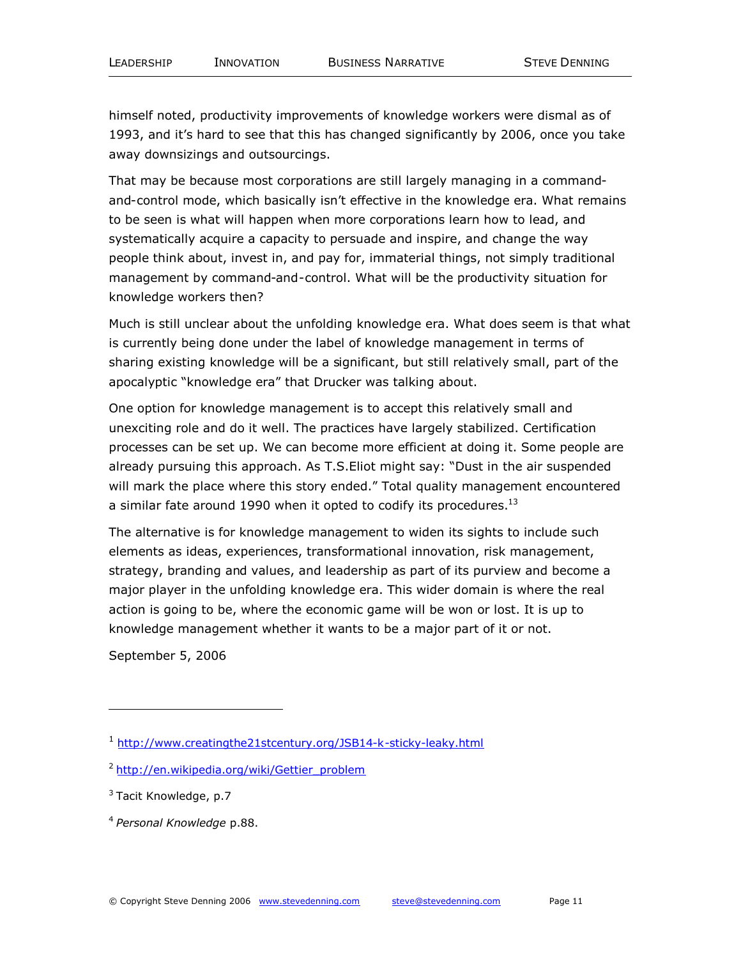himself noted, productivity improvements of knowledge workers were dismal as of 1993, and it's hard to see that this has changed significantly by 2006, once you take away downsizings and outsourcings.

That may be because most corporations are still largely managing in a commandand-control mode, which basically isn't effective in the knowledge era. What remains to be seen is what will happen when more corporations learn how to lead, and systematically acquire a capacity to persuade and inspire, and change the way people think about, invest in, and pay for, immaterial things, not simply traditional management by command-and-control. What will be the productivity situation for knowledge workers then?

Much is still unclear about the unfolding knowledge era. What does seem is that what is currently being done under the label of knowledge management in terms of sharing existing knowledge will be a significant, but still relatively small, part of the apocalyptic "knowledge era" that Drucker was talking about.

One option for knowledge management is to accept this relatively small and unexciting role and do it well. The practices have largely stabilized. Certification processes can be set up. We can become more efficient at doing it. Some people are already pursuing this approach. As T.S.Eliot might say: "Dust in the air suspended will mark the place where this story ended." Total quality management encountered a similar fate around 1990 when it opted to codify its procedures.<sup>13</sup>

The alternative is for knowledge management to widen its sights to include such elements as ideas, experiences, transformational innovation, risk management, strategy, branding and values, and leadership as part of its purview and become a major player in the unfolding knowledge era. This wider domain is where the real action is going to be, where the economic game will be won or lost. It is up to knowledge management whether it wants to be a major part of it or not.

September 5, 2006

<sup>1</sup> http://www.creatingthe21stcentury.org/JSB14-k-sticky-leaky.html

<sup>&</sup>lt;sup>2</sup> http://en.wikipedia.org/wiki/Gettier\_problem

<sup>&</sup>lt;sup>3</sup> Tacit Knowledge, p.7

<sup>4</sup> *Personal Knowledge* p.88.